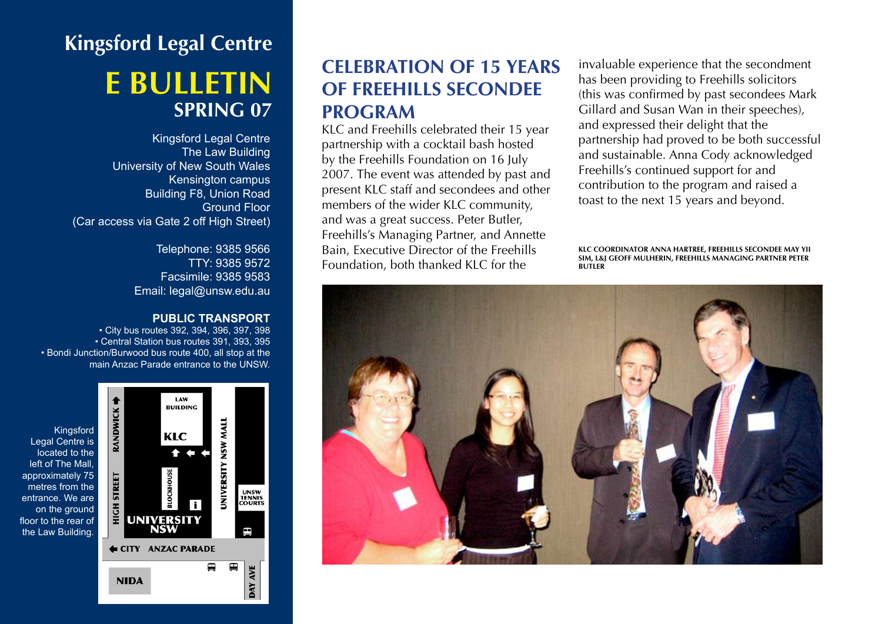# **Kingsford Legal Centre e bulletin SPRING 07**

Kingsford Legal Centre The Law Building University of New South Wales Kensington campus Building F8, Union Road Ground Floor (Car access via Gate 2 off High Street)

> Telephone: 9385 9566 TTY: 9385 9572 Facsimile: 9385 9583 Email: legal@unsw.edu.au

#### **PUBLIC TRANSPORT**

• City bus routes 392, 394, 396, 397, 398 • Central Station bus routes 391, 393, 395 • Bondi Junction/Burwood bus route 400, all stop at the main Anzac Parade entrance to the UNSW.



# **CELEBRATION OF 15 YEARS of Freehills Secondee Program**

KLC and Freehills celebrated their 15 year partnership with a cocktail bash hosted by the Freehills Foundation on 16 July 2007. The event was attended by past and present KLC staff and secondees and other members of the wider KLC community, and was a great success. Peter Butler, Freehills's Managing Partner, and Annette Bain, Executive Director of the Freehills Foundation, both thanked KLC for the

invaluable experience that the secondment has been providing to Freehills solicitors (this was confirmed by past secondees Mark Gillard and Susan Wan in their speeches), and expressed their delight that the partnership had proved to be both successful and sustainable. Anna Cody acknowledged Freehills's continued support for and contribution to the program and raised a toast to the next 15 years and beyond.

**KLC Coordinator Anna Hartree, Freehills secondee May Yii Sim, L&J Geoff Mulherin, Freehills Managing Partner Peter Butler**

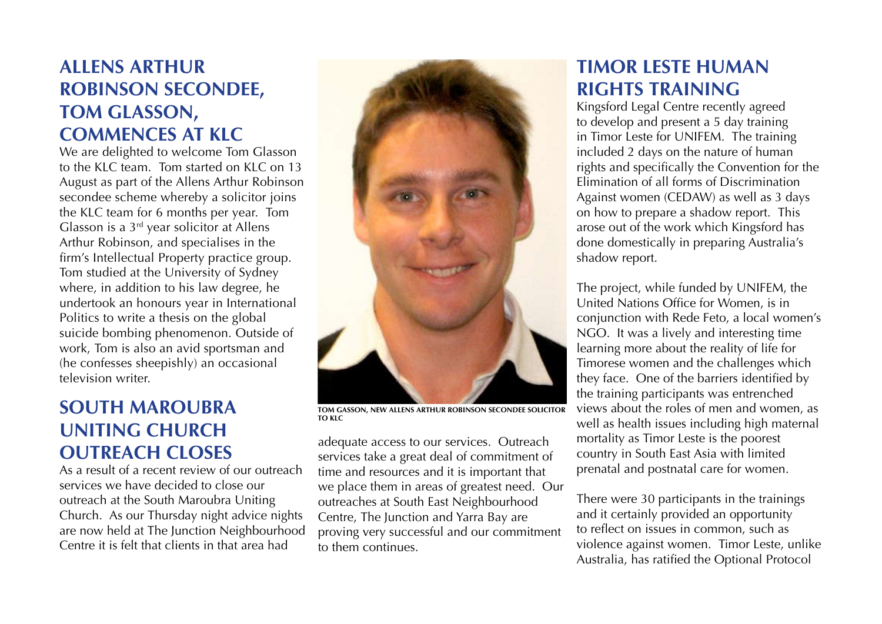# **Allens Arthur Robinson Secondee, Tom Glasson, Commences at KLC**

We are delighted to welcome Tom Glasson to the KLC team. Tom started on KLC on 13 August as part of the Allens Arthur Robinson secondee scheme whereby a solicitor joins the KLC team for 6 months per year. Tom Glasson is a 3rd year solicitor at Allens Arthur Robinson, and specialises in the firm's Intellectual Property practice group. Tom studied at the University of Sydney where, in addition to his law degree, he undertook an honours year in International Politics to write a thesis on the global suicide bombing phenomenon. Outside of work, Tom is also an avid sportsman and (he confesses sheepishly) an occasional television writer.

### **South Maroubra Uniting Church Outreach Closes**

As a result of a recent review of our outreach services we have decided to close our outreach at the South Maroubra Uniting Church. As our Thursday night advice nights are now held at The Junction Neighbourhood Centre it is felt that clients in that area had



**Tom Gasson, new Allens Arthur Robinson secondee solicitor to KLC**

adequate access to our services. Outreach services take a great deal of commitment of time and resources and it is important that we place them in areas of greatest need. Our outreaches at South East Neighbourhood Centre, The Junction and Yarra Bay are proving very successful and our commitment to them continues.

# **Timor Leste human rights training**

Kingsford Legal Centre recently agreed to develop and present a 5 day training in Timor Leste for UNIFEM. The training included 2 days on the nature of human rights and specifically the Convention for the Elimination of all forms of Discrimination Against women (CEDAW) as well as 3 days on how to prepare a shadow report. This arose out of the work which Kingsford has done domestically in preparing Australia's shadow report.

The project, while funded by UNIFEM, the United Nations Office for Women, is in conjunction with Rede Feto, a local women's NGO. It was a lively and interesting time learning more about the reality of life for Timorese women and the challenges which they face. One of the barriers identified by the training participants was entrenched views about the roles of men and women, as well as health issues including high maternal mortality as Timor Leste is the poorest country in South East Asia with limited prenatal and postnatal care for women.

There were 30 participants in the trainings and it certainly provided an opportunity to reflect on issues in common, such as violence against women. Timor Leste, unlike Australia, has ratified the Optional Protocol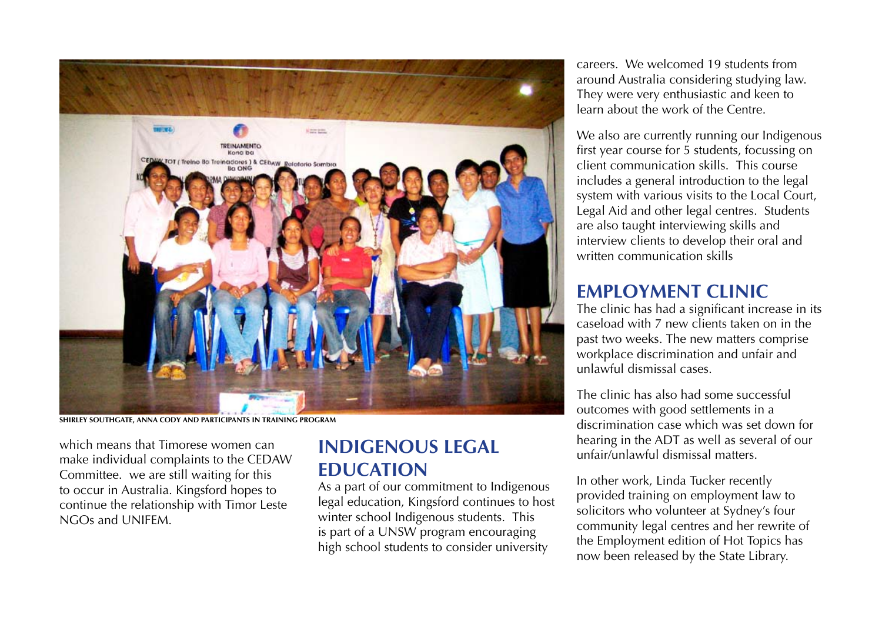

**Shirley Southgate, Anna Cody and participants in training program**

which means that Timorese women can make individual complaints to the CEDAW Committee. we are still waiting for this to occur in Australia. Kingsford hopes to continue the relationship with Timor Leste NGOs and UNIFEM.

# **Indigenous legal education**

As a part of our commitment to Indigenous legal education, Kingsford continues to host winter school Indigenous students. This is part of a UNSW program encouraging high school students to consider university

careers. We welcomed 19 students from around Australia considering studying law. They were very enthusiastic and keen to learn about the work of the Centre.

We also are currently running our Indigenous first year course for 5 students, focussing on client communication skills. This course includes a general introduction to the legal system with various visits to the Local Court, Legal Aid and other legal centres. Students are also taught interviewing skills and interview clients to develop their oral and written communication skills

#### **Employment Clinic**

The clinic has had a significant increase in its caseload with 7 new clients taken on in the past two weeks. The new matters comprise workplace discrimination and unfair and unlawful dismissal cases.

The clinic has also had some successful outcomes with good settlements in a discrimination case which was set down for hearing in the ADT as well as several of our unfair/unlawful dismissal matters.

In other work, Linda Tucker recently provided training on employment law to solicitors who volunteer at Sydney's four community legal centres and her rewrite of the Employment edition of Hot Topics has now been released by the State Library.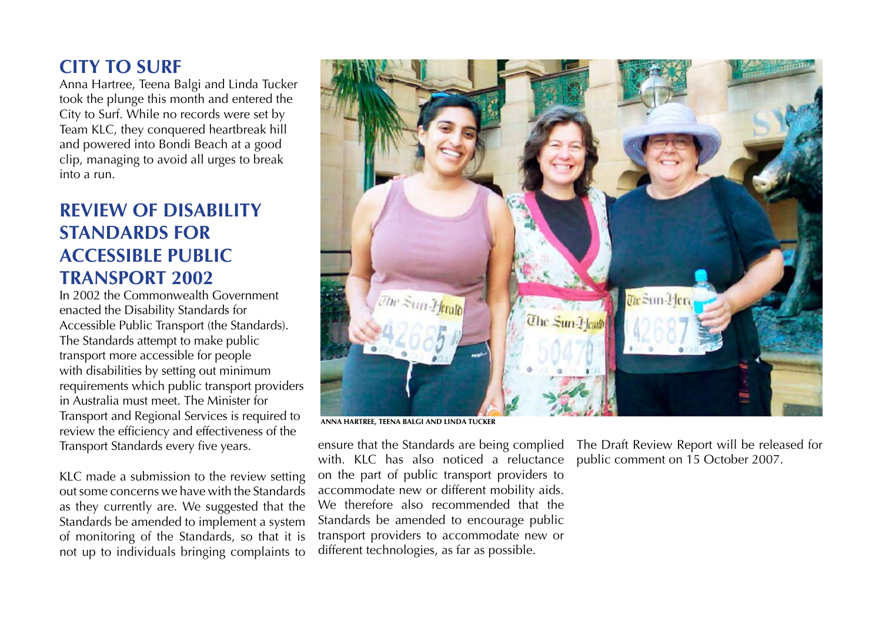#### **City to Surf**

Anna Hartree, Teena Balgi and Linda Tucker took the plunge this month and entered the City to Surf. While no records were set by Team KLC, they conquered heartbreak hill and powered into Bondi Beach at a good clip, managing to avoid all urges to break into a run.

#### **Review of Disability Standards for Accessible Public Transport 2002**

In 2002 the Commonwealth Government enacted the Disability Standards for Accessible Public Transport (the Standards). The Standards attempt to make public transport more accessible for people with disabilities by setting out minimum requirements which public transport providers in Australia must meet. The Minister for Transport and Regional Services is required to review the efficiency and effectiveness of the Transport Standards every five years.

KLC made a submission to the review setting out some concerns we have with the Standards as they currently are. We suggested that the Standards be amended to implement a system of monitoring of the Standards, so that it is not up to individuals bringing complaints to



ensure that the Standards are being complied with. KLC has also noticed a reluctance on the part of public transport providers to accommodate new or different mobility aids. We therefore also recommended that the Standards be amended to encourage public transport providers to accommodate new or different technologies, as far as possible.

The Draft Review Report will be released for public comment on 15 October 2007.